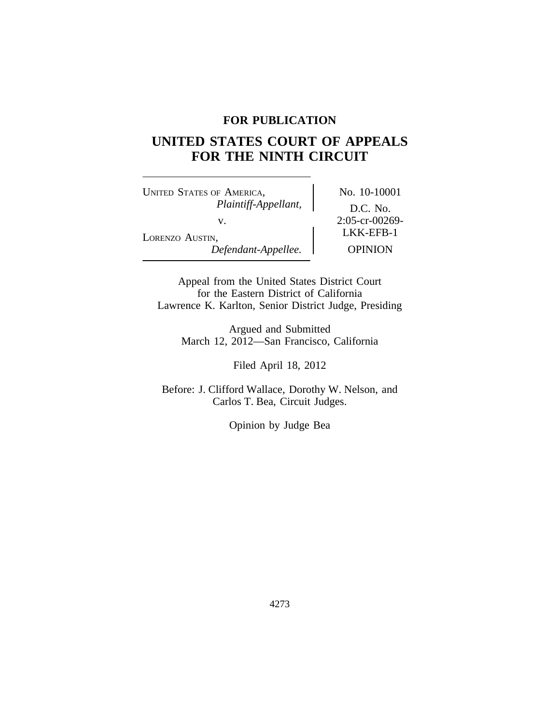# **FOR PUBLICATION**

# **UNITED STATES COURT OF APPEALS FOR THE NINTH CIRCUIT**

UNITED STATES OF AMERICA, No. 10-10001 *Plaintiff-Appellant,* D.C. No. v. 2:05-cr-00269-<br>LKK-EFB-1 LORENZO AUSTIN, *Defendant-Appellee.* OPINION

Appeal from the United States District Court for the Eastern District of California Lawrence K. Karlton, Senior District Judge, Presiding

Argued and Submitted March 12, 2012—San Francisco, California

Filed April 18, 2012

Before: J. Clifford Wallace, Dorothy W. Nelson, and Carlos T. Bea, Circuit Judges.

Opinion by Judge Bea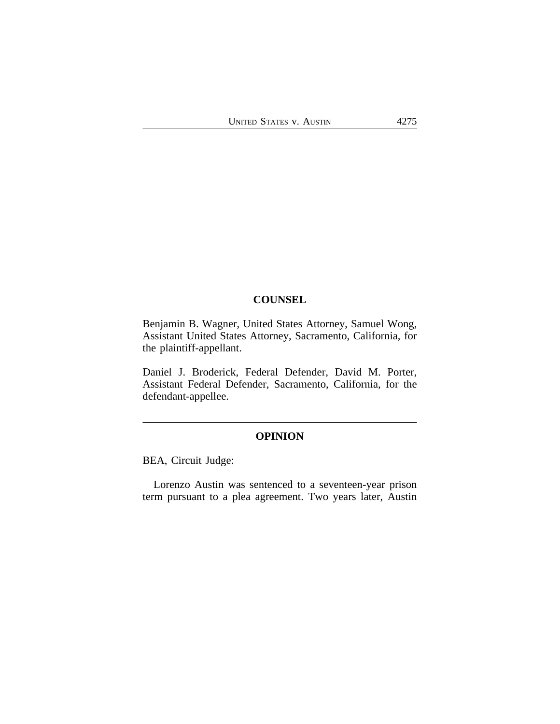## **COUNSEL**

Benjamin B. Wagner, United States Attorney, Samuel Wong, Assistant United States Attorney, Sacramento, California, for the plaintiff-appellant.

Daniel J. Broderick, Federal Defender, David M. Porter, Assistant Federal Defender, Sacramento, California, for the defendant-appellee.

## **OPINION**

BEA, Circuit Judge:

Lorenzo Austin was sentenced to a seventeen-year prison term pursuant to a plea agreement. Two years later, Austin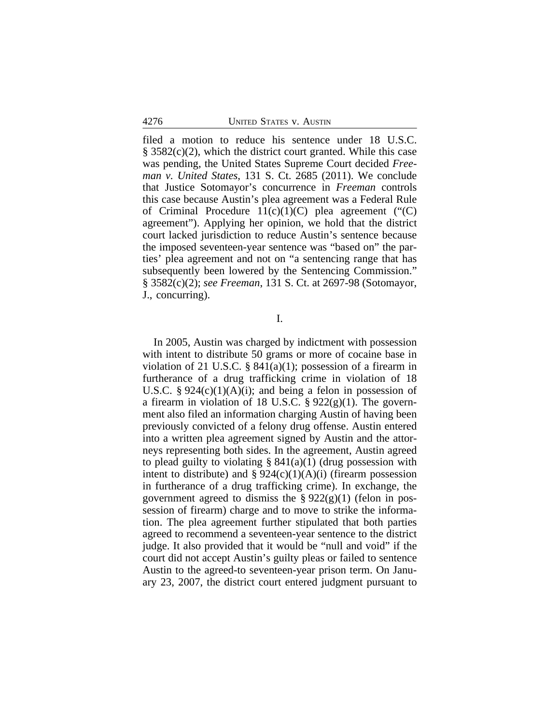filed a motion to reduce his sentence under 18 U.S.C.  $\S$  3582(c)(2), which the district court granted. While this case was pending, the United States Supreme Court decided *Freeman v. United States*, 131 S. Ct. 2685 (2011). We conclude that Justice Sotomayor's concurrence in *Freeman* controls this case because Austin's plea agreement was a Federal Rule of Criminal Procedure  $11(c)(1)(C)$  plea agreement ("(C) agreement"). Applying her opinion, we hold that the district court lacked jurisdiction to reduce Austin's sentence because the imposed seventeen-year sentence was "based on" the parties' plea agreement and not on "a sentencing range that has subsequently been lowered by the Sentencing Commission." § 3582(c)(2); *see Freeman*, 131 S. Ct. at 2697-98 (Sotomayor, J., concurring).

I.

In 2005, Austin was charged by indictment with possession with intent to distribute 50 grams or more of cocaine base in violation of 21 U.S.C.  $\S 841(a)(1)$ ; possession of a firearm in furtherance of a drug trafficking crime in violation of 18 U.S.C. §  $924(c)(1)(A)(i)$ ; and being a felon in possession of a firearm in violation of 18 U.S.C.  $\S 922(g)(1)$ . The government also filed an information charging Austin of having been previously convicted of a felony drug offense. Austin entered into a written plea agreement signed by Austin and the attorneys representing both sides. In the agreement, Austin agreed to plead guilty to violating  $\S 841(a)(1)$  (drug possession with intent to distribute) and  $\S 924(c)(1)(A)(i)$  (firearm possession in furtherance of a drug trafficking crime). In exchange, the government agreed to dismiss the  $\S 922(g)(1)$  (felon in possession of firearm) charge and to move to strike the information. The plea agreement further stipulated that both parties agreed to recommend a seventeen-year sentence to the district judge. It also provided that it would be "null and void" if the court did not accept Austin's guilty pleas or failed to sentence Austin to the agreed-to seventeen-year prison term. On January 23, 2007, the district court entered judgment pursuant to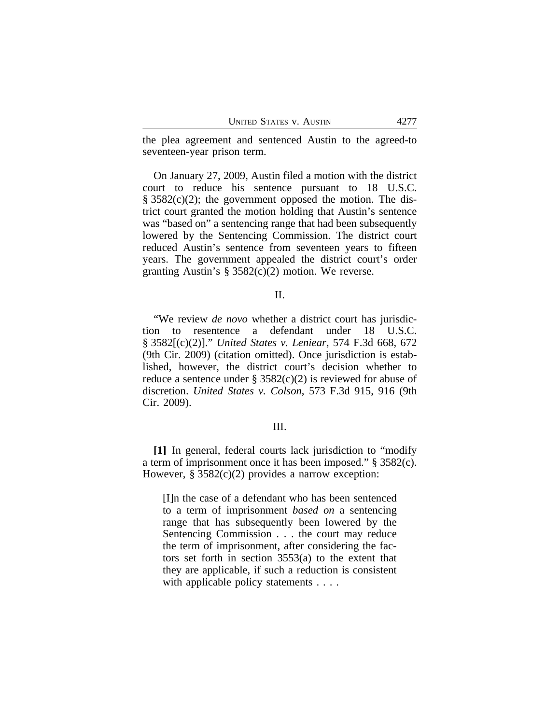the plea agreement and sentenced Austin to the agreed-to seventeen-year prison term.

On January 27, 2009, Austin filed a motion with the district court to reduce his sentence pursuant to 18 U.S.C.  $§ 3582(c)(2);$  the government opposed the motion. The district court granted the motion holding that Austin's sentence was "based on" a sentencing range that had been subsequently lowered by the Sentencing Commission. The district court reduced Austin's sentence from seventeen years to fifteen years. The government appealed the district court's order granting Austin's § 3582(c)(2) motion. We reverse.

#### II.

"We review *de novo* whether a district court has jurisdiction to resentence a defendant under 18 U.S.C. § 3582[(c)(2)]." *United States v. Leniear*, 574 F.3d 668, 672 (9th Cir. 2009) (citation omitted). Once jurisdiction is established, however, the district court's decision whether to reduce a sentence under §  $3582(c)(2)$  is reviewed for abuse of discretion. *United States v. Colson*, 573 F.3d 915, 916 (9th Cir. 2009).

#### III.

**[1]** In general, federal courts lack jurisdiction to "modify a term of imprisonment once it has been imposed." § 3582(c). However,  $\S 3582(c)(2)$  provides a narrow exception:

[I]n the case of a defendant who has been sentenced to a term of imprisonment *based on* a sentencing range that has subsequently been lowered by the Sentencing Commission . . . the court may reduce the term of imprisonment, after considering the factors set forth in section 3553(a) to the extent that they are applicable, if such a reduction is consistent with applicable policy statements . . . .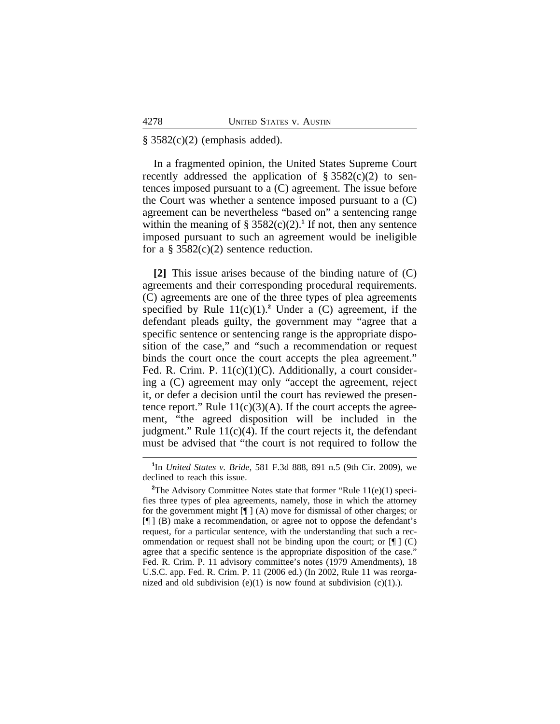## $§ 3582(c)(2)$  (emphasis added).

In a fragmented opinion, the United States Supreme Court recently addressed the application of  $\S 3582(c)(2)$  to sentences imposed pursuant to a (C) agreement. The issue before the Court was whether a sentence imposed pursuant to a (C) agreement can be nevertheless "based on" a sentencing range within the meaning of  $\S 3582(c)(2)$ .<sup>1</sup> If not, then any sentence imposed pursuant to such an agreement would be ineligible for a  $\S 3582(c)(2)$  sentence reduction.

**[2]** This issue arises because of the binding nature of (C) agreements and their corresponding procedural requirements. (C) agreements are one of the three types of plea agreements specified by Rule  $11(c)(1)$ .<sup>2</sup> Under a (C) agreement, if the defendant pleads guilty, the government may "agree that a specific sentence or sentencing range is the appropriate disposition of the case," and "such a recommendation or request binds the court once the court accepts the plea agreement." Fed. R. Crim. P. 11(c)(1)(C). Additionally, a court considering a (C) agreement may only "accept the agreement, reject it, or defer a decision until the court has reviewed the presentence report." Rule  $11(c)(3)(A)$ . If the court accepts the agreement, "the agreed disposition will be included in the judgment." Rule  $11(c)(4)$ . If the court rejects it, the defendant must be advised that "the court is not required to follow the

**<sup>1</sup>** In *United States v. Bride*, 581 F.3d 888, 891 n.5 (9th Cir. 2009), we declined to reach this issue.

<sup>&</sup>lt;sup>2</sup>The Advisory Committee Notes state that former "Rule 11(e)(1) specifies three types of plea agreements, namely, those in which the attorney for the government might [¶ ] (A) move for dismissal of other charges; or [¶ ] (B) make a recommendation, or agree not to oppose the defendant's request, for a particular sentence, with the understanding that such a recommendation or request shall not be binding upon the court; or  $\P$   $\Box$  (C) agree that a specific sentence is the appropriate disposition of the case." Fed. R. Crim. P. 11 advisory committee's notes (1979 Amendments), 18 U.S.C. app. Fed. R. Crim. P. 11 (2006 ed.) (In 2002, Rule 11 was reorganized and old subdivision  $(e)(1)$  is now found at subdivision  $(c)(1)$ .).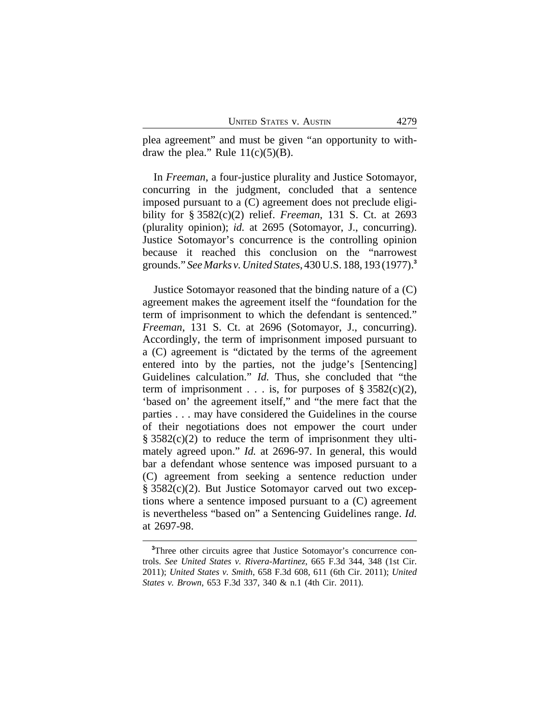plea agreement" and must be given "an opportunity to withdraw the plea." Rule  $11(c)(5)(B)$ .

In *Freeman*, a four-justice plurality and Justice Sotomayor, concurring in the judgment, concluded that a sentence imposed pursuant to a (C) agreement does not preclude eligibility for § 3582(c)(2) relief. *Freeman*, 131 S. Ct. at 2693 (plurality opinion); *id.* at 2695 (Sotomayor, J., concurring). Justice Sotomayor's concurrence is the controlling opinion because it reached this conclusion on the "narrowest grounds." *See Marks v. United States*, 430 U.S. 188, 193 (1977).**<sup>3</sup>**

Justice Sotomayor reasoned that the binding nature of a (C) agreement makes the agreement itself the "foundation for the term of imprisonment to which the defendant is sentenced." *Freeman*, 131 S. Ct. at 2696 (Sotomayor, J., concurring). Accordingly, the term of imprisonment imposed pursuant to a (C) agreement is "dictated by the terms of the agreement entered into by the parties, not the judge's [Sentencing] Guidelines calculation." *Id.* Thus, she concluded that "the term of imprisonment . . . is, for purposes of  $\S 3582(c)(2)$ , 'based on' the agreement itself," and "the mere fact that the parties . . . may have considered the Guidelines in the course of their negotiations does not empower the court under  $\S$  3582(c)(2) to reduce the term of imprisonment they ultimately agreed upon." *Id.* at 2696-97. In general, this would bar a defendant whose sentence was imposed pursuant to a (C) agreement from seeking a sentence reduction under § 3582(c)(2). But Justice Sotomayor carved out two exceptions where a sentence imposed pursuant to a (C) agreement is nevertheless "based on" a Sentencing Guidelines range. *Id.* at 2697-98.

**<sup>3</sup>**Three other circuits agree that Justice Sotomayor's concurrence controls. *See United States v. Rivera-Martinez*, 665 F.3d 344, 348 (1st Cir. 2011); *United States v. Smith*, 658 F.3d 608, 611 (6th Cir. 2011); *United States v. Brown*, 653 F.3d 337, 340 & n.1 (4th Cir. 2011).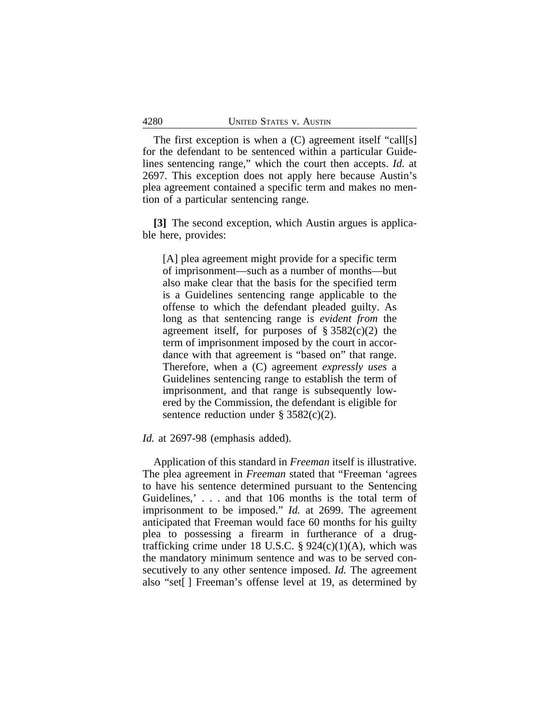The first exception is when a (C) agreement itself "call[s] for the defendant to be sentenced within a particular Guidelines sentencing range," which the court then accepts. *Id.* at 2697. This exception does not apply here because Austin's plea agreement contained a specific term and makes no mention of a particular sentencing range.

**[3]** The second exception, which Austin argues is applicable here, provides:

[A] plea agreement might provide for a specific term of imprisonment—such as a number of months—but also make clear that the basis for the specified term is a Guidelines sentencing range applicable to the offense to which the defendant pleaded guilty. As long as that sentencing range is *evident from* the agreement itself, for purposes of  $\S 3582(c)(2)$  the term of imprisonment imposed by the court in accordance with that agreement is "based on" that range. Therefore, when a (C) agreement *expressly uses* a Guidelines sentencing range to establish the term of imprisonment, and that range is subsequently lowered by the Commission, the defendant is eligible for sentence reduction under  $\S 3582(c)(2)$ .

#### *Id.* at 2697-98 (emphasis added).

Application of this standard in *Freeman* itself is illustrative. The plea agreement in *Freeman* stated that "Freeman 'agrees to have his sentence determined pursuant to the Sentencing Guidelines,' . . . and that 106 months is the total term of imprisonment to be imposed." *Id.* at 2699. The agreement anticipated that Freeman would face 60 months for his guilty plea to possessing a firearm in furtherance of a drugtrafficking crime under 18 U.S.C.  $\S 924(c)(1)(A)$ , which was the mandatory minimum sentence and was to be served consecutively to any other sentence imposed. *Id.* The agreement also "set[ ] Freeman's offense level at 19, as determined by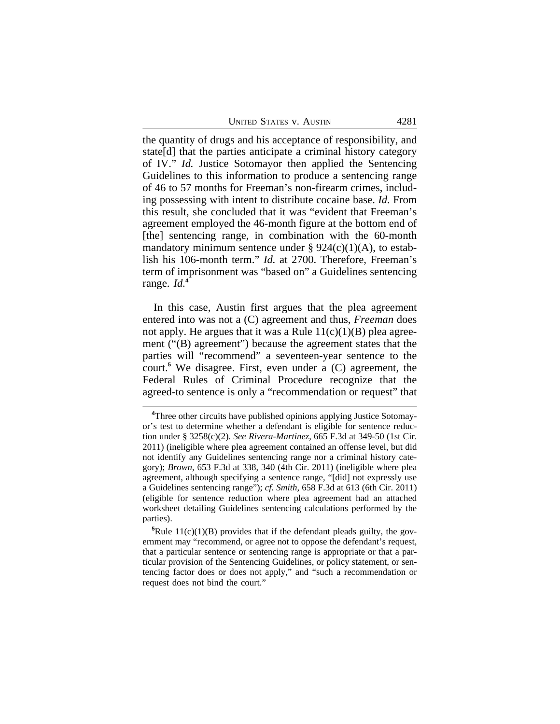| 4281                           |
|--------------------------------|
| <b>UNITED STATES V. AUSTIN</b> |

the quantity of drugs and his acceptance of responsibility, and state[d] that the parties anticipate a criminal history category of IV." *Id.* Justice Sotomayor then applied the Sentencing Guidelines to this information to produce a sentencing range of 46 to 57 months for Freeman's non-firearm crimes, including possessing with intent to distribute cocaine base. *Id.* From this result, she concluded that it was "evident that Freeman's agreement employed the 46-month figure at the bottom end of [the] sentencing range, in combination with the 60-month mandatory minimum sentence under  $\S 924(c)(1)(A)$ , to establish his 106-month term." *Id.* at 2700. Therefore, Freeman's term of imprisonment was "based on" a Guidelines sentencing range. *Id.***<sup>4</sup>**

In this case, Austin first argues that the plea agreement entered into was not a (C) agreement and thus, *Freeman* does not apply. He argues that it was a Rule  $11(c)(1)(B)$  plea agreement ("(B) agreement") because the agreement states that the parties will "recommend" a seventeen-year sentence to the court.**<sup>5</sup>** We disagree. First, even under a (C) agreement, the Federal Rules of Criminal Procedure recognize that the agreed-to sentence is only a "recommendation or request" that

**<sup>4</sup>**Three other circuits have published opinions applying Justice Sotomayor's test to determine whether a defendant is eligible for sentence reduction under § 3258(c)(2). *See Rivera-Martinez*, 665 F.3d at 349-50 (1st Cir. 2011) (ineligible where plea agreement contained an offense level, but did not identify any Guidelines sentencing range nor a criminal history category); *Brown*, 653 F.3d at 338, 340 (4th Cir. 2011) (ineligible where plea agreement, although specifying a sentence range, "[did] not expressly use a Guidelines sentencing range"); *cf. Smith*, 658 F.3d at 613 (6th Cir. 2011) (eligible for sentence reduction where plea agreement had an attached worksheet detailing Guidelines sentencing calculations performed by the parties).

<sup>&</sup>lt;sup>5</sup>Rule 11(c)(1)(B) provides that if the defendant pleads guilty, the government may "recommend, or agree not to oppose the defendant's request, that a particular sentence or sentencing range is appropriate or that a particular provision of the Sentencing Guidelines, or policy statement, or sentencing factor does or does not apply," and "such a recommendation or request does not bind the court."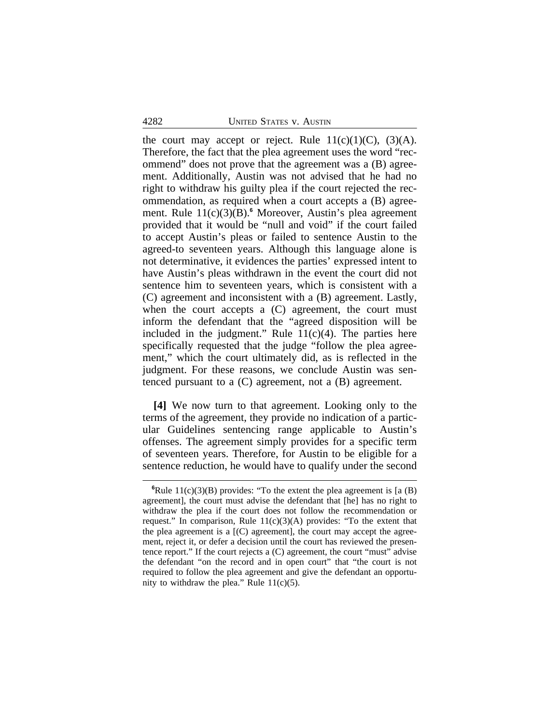the court may accept or reject. Rule  $11(c)(1)(C)$ ,  $(3)(A)$ . Therefore, the fact that the plea agreement uses the word "recommend" does not prove that the agreement was a (B) agreement. Additionally, Austin was not advised that he had no right to withdraw his guilty plea if the court rejected the recommendation, as required when a court accepts a (B) agreement. Rule 11(c)(3)(B).**<sup>6</sup>** Moreover, Austin's plea agreement provided that it would be "null and void" if the court failed to accept Austin's pleas or failed to sentence Austin to the agreed-to seventeen years. Although this language alone is not determinative, it evidences the parties' expressed intent to have Austin's pleas withdrawn in the event the court did not sentence him to seventeen years, which is consistent with a (C) agreement and inconsistent with a (B) agreement. Lastly, when the court accepts a (C) agreement, the court must inform the defendant that the "agreed disposition will be included in the judgment." Rule  $11(c)(4)$ . The parties here specifically requested that the judge "follow the plea agreement," which the court ultimately did, as is reflected in the judgment. For these reasons, we conclude Austin was sentenced pursuant to a (C) agreement, not a (B) agreement.

**[4]** We now turn to that agreement. Looking only to the terms of the agreement, they provide no indication of a particular Guidelines sentencing range applicable to Austin's offenses. The agreement simply provides for a specific term of seventeen years. Therefore, for Austin to be eligible for a sentence reduction, he would have to qualify under the second

<sup>&</sup>lt;sup>6</sup>Rule 11(c)(3)(B) provides: "To the extent the plea agreement is [a (B) agreement], the court must advise the defendant that [he] has no right to withdraw the plea if the court does not follow the recommendation or request." In comparison, Rule  $11(c)(3)(A)$  provides: "To the extent that the plea agreement is a  $[(C)$  agreement], the court may accept the agreement, reject it, or defer a decision until the court has reviewed the presentence report." If the court rejects a (C) agreement, the court "must" advise the defendant "on the record and in open court" that "the court is not required to follow the plea agreement and give the defendant an opportunity to withdraw the plea." Rule  $11(c)(5)$ .